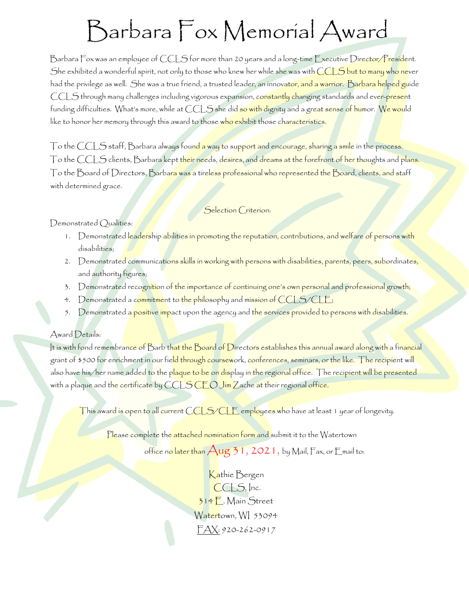## Barbara Fox Memorial Award

Barbara Fox was an employee of CCLS for more than 20 years and a long-time Executive Director/President. She exhibited a wonderful spirit, not only to those who knew her while she was with CCLS but to many who never had the privilege as well. She was a true friend, a trusted leader, an innovator, and a warrior. Barbara helped guide CCLS through many challenges including vigorous expansion, constantly changing standards and ever-present funding difficulties. What's more, while at CCLS she did so with dignity and a great sense of humor. We would like to honor her memory through this award to those who exhibit those characteristics.

To the CCLS staff, Barbara always foun<mark>d a way t</mark>o support and encourage, sharing a smile in the process. To the CCLS clients, Barbara kept t<mark>heir nee</mark>ds, desires, and dreams at the forefront of her thoughts and plans. To the Board of Directors, Barbara was a tireless professional who represented the Board, clients, and staff with determined grace.

## Selection Criterion:

Demonstrated Qualities:

- 1. Demonstrated leadership abilities in promoting the reputation, contributions, and welfare of persons with disabilities;
- 2. Demonstrated communications skills in working with persons with disabilities, parents, peers, subordinates, and authority figures;
- 3. Demonstrated recognition of the importance of continuing one's own personal and professional growth;
- 4. Demonstrated a commitment to the philosophy and mission of CCLS/CLE;
- 5. Demonstrated a positive impact upon the agency and the services provided to persons with disabilities.

## Award Details:

It is with fond remembrance of Barb that the Board of Directors establishes this annual award along with a financial grant of \$500 for enrichment in our field through coursework, conferences, seminars, or the like. The recipient will also have his/her name added to the p<mark>laque to be on dis</mark>play in the regional office. The recipient will be presented with a plaque and the certificate by CCLS CEO Jim Zache at their regional office.

This award is open to all current CCLS/CLE employees who have at least 1 year of longevity.

Please complete the attached nomination form and submit it to the Watertown

office n<mark>o later than  $\bigwedge$ ug 31, 2021, by Mail, Fax, or Email to:</mark>

Kathie Bergen CCLS, Inc. 314 E. Main Street Watertown, WI 53094 FAX: 920-262-0917